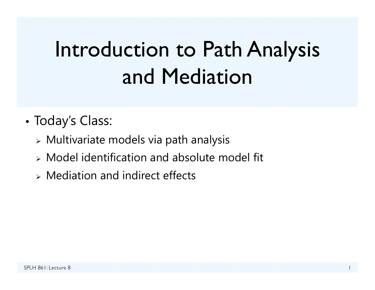# Introduction to Path Analysis and Mediation

- • Today's Class:
	- $\triangleright$  Multivariate models via path analysis
	- Model identification and absolute model fit
	- Mediation and indirect effects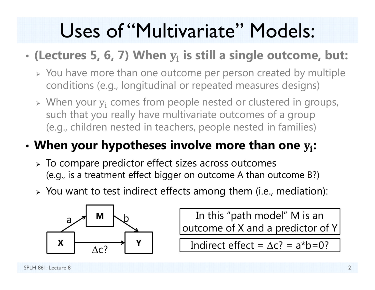### Uses of "Multivariate" Models:

#### •**(Lectures 5, 6, 7) When**  ܑ **is still a single outcome, but:**

- $\triangleright$  You have more than one outcome per person created by multiple conditions (e.g., longitudinal or repeated measures designs)
- $\triangleright$  When your  $y_i$  comes from people nested or clustered in groups, such that you really have multivariate outcomes of a group (e.g., children nested in teachers, people nested in families)

#### •**When your hypotheses involve more than one**  ܑ**:**

- $\triangleright$  To compare predictor effect sizes across outcomes (e.g., is a treatment effect bigger on outcome A than outcome B?)
- $\triangleright$  You want to test indirect effects among them (i.e., mediation):



In this "path model" M is an outcome of X and a predictor of Y

 $\begin{array}{c|c} \hline \uparrow & \qquad \qquad \text{Indirect effect} = \Delta c? = a^*b = 0? \ \hline \end{array}$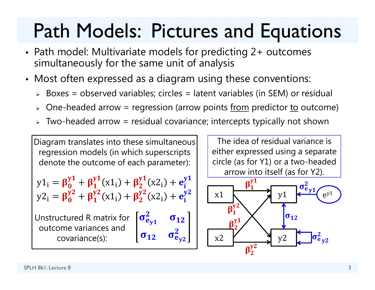### Path Models: Pictures and Equations

- Path model: Multivariate models for predicting 2+ outcomes simultaneously for the same unit of analysis
- Most often expressed as a diagram using these conventions:
	- Boxes = observed variables; circles = latent variables (in SEM) or residual
	- > One-headed arrow = regression (arrow points <u>from</u> predictor <u>to</u> outcome)
	- $\triangleright$  Two-headed arrow = residual covariance; intercepts typically not shown

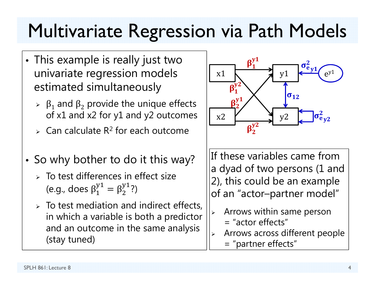### Multivariate Regression via Path Models

- This example is really just two univariate regression models estimated simultaneously
	- $\triangleright$  β<sub>1</sub> and β<sub>2</sub> provide the unique effects of x1 and x2 for y1 and y2 outcomes
	- $\triangleright$  Can calculate R<sup>2</sup> for each outcome
- So why bother to do it this way?
	- $>$  To test differences in effect size (e.g., does  $\beta_1^y$  $\mathcal{S}_1^\text{y1} = \beta_2^\text{y1}$ ?)
	- $\triangleright$  To test mediation and indirect effects, in which a variable is both a predictor and an outcome in the same analysis (stay tuned)



If these variables came from a dyad of two persons (1 and 2), this could be an example of an "actor–partner model"

- $\blacktriangleright$  Arrows within same person
	- $=$  "actor effects"
- ➤ Arrows across different people
	- = "partner effects"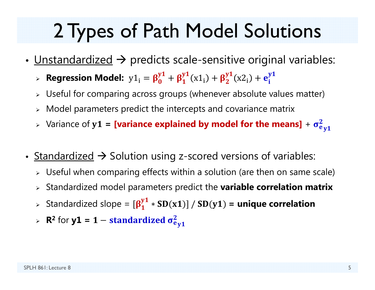### 2 Types of Path Model Solutions

- <u>Unstandardized</u>  $\rightarrow$  predicts scale-sensitive original variables:
	- $\triangleright$  **Regression Model:**  $\mathrm{y1}_{\mathrm{i}} = \boldsymbol{\beta^y_0}$  $\frac{y_1}{0} + \beta_1^{y_1}(x_1) + \beta_2^{y_1}(x_2) + e_i^{y_1}$
	- $\triangleright$  Useful for comparing across groups (whenever absolute values matter)
	- $\triangleright$  Model parameters predict the intercepts and covariance matrix
	- $\triangleright$  Variance of  $y1 =$  **[variance explained by model for the means]** +  $\sigma_e^2$ 2<br>e y 1
- Standardized  $\rightarrow$  Solution using z-scored versions of variables:
	- $\triangleright$  Useful when comparing effects within a solution (are then on same scale)
	- Standardized model parameters predict the **variable correlation matrix**
	- $\triangleright$  Standardized slope =  $[\beta_1^y]$  $\frac{y1}{1} * SD(x1)] / SD(y1)$  = unique correlation
	- $\triangleright$  **R**<sup>2</sup> for **y1** = **1**  $-$  **standardized**  $\sigma_{\rm e}^2$ 2<br>e y 1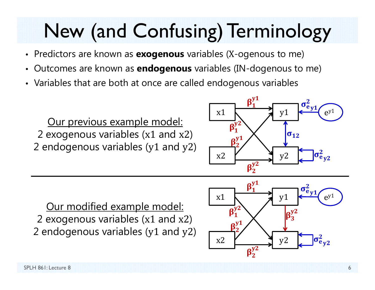# New (and Confusing) Terminology

- Predictors are known as **exogenous** variables ( X-ogenous to me)
- •Outcomes are known as **endogenous** variables (IN-dogenous to me)
- Variables that are both at once are called endogenous variables

Our previous example model: 2 exogenous variables (x1 and x2 ) 2 endogenous variables (y1 and y2 )



Our modified example model: 2 exogenous variables (x1 and x2 ) 2 endogenous variables (y1 and y2 )

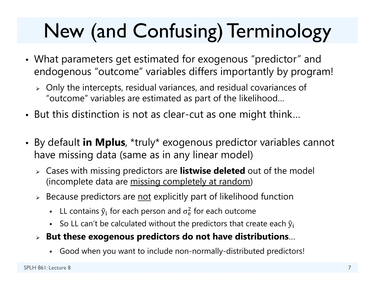# New (and Confusing) Terminology

- What parameters get estimated for exogenous "predictor" and endogenous "outcome" variables differs importantly by program!
	- $\triangleright$  Only the intercepts, residual variances, and residual covariances of "outcome" variables are estimated as part of the likelihood…
- But this distinction is not as clear-cut as one might think…
- By default **in Mplus**, \*truly\* exogenous predictor variables cannot have missing data (same as in any linear model)
	- Cases with missing predictors are **listwise deleted** out of the model (incomplete data are missing completely at random)
	- $\triangleright$  Because predictors are <u>not</u> explicitly part of likelihood function
		- **-** LL contains  $\hat{y}_i$  for each person and  $\sigma_e^2$  $<sup>2</sup>$  for each outcome</sup>
		- So LL can't be calculated without the predictors that create each  $\hat{y}_i$
	- **But these exogenous predictors do not have distributions** …
		- Good when you want to include non-normally-distributed predictors!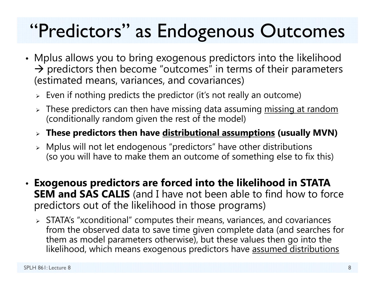### "Predictors" as Endogenous Outcomes

- Mplus allows you to bring exogenous predictors into the likelihood  $\rightarrow$  predictors then become "outcomes" in terms of their parameters (estimated means, variances, and covariances)
	- $\triangleright\;$  Even if nothing predicts the predictor (it's not really an outcome)
	- $\triangleright$  These predictors can then have missing data assuming <u>missing at random</u> (conditionally random given the rest of the model)
	- **These predictors then have distributional assumptions (usually MVN)**
	- $\triangleright$  Mplus will not let endogenous "predictors" have other distributions (so you will have to make them an outcome of something else to fix this)
- **Exogenous predictors are forced into the likelihood in STATA SEM and SAS CALIS** (and I have not been able to find how to force predictors out of the likelihood in those programs)
	- $\triangleright$  STATA's "xconditional" computes their means, variances, and covariances from the observed data to save time given complete data (and searches for them as model parameters otherwise), but these values then go into the likelihood, which means exogenous predictors have assumed distributions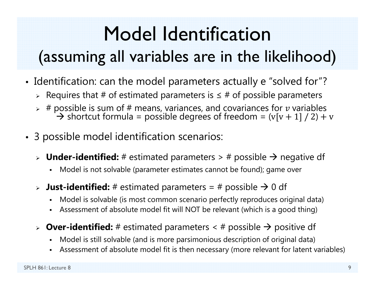## Model Identification

### (assuming all variables are in the likelihood)

- Identification: can the model parameters actually e "solved for"?
	- $\triangleright$  Requires that # of estimated parameters is  $\leq$  # of possible parameters
	- $\triangleright$  # possible is sum of # means, variances, and covariances for  $v$  variables  $\rightarrow$  shortcut formula = possible degrees of freedom = (v[v + 1] / 2) + v
- 3 possible model identification scenarios:
	- > **Under-identified:** # estimated parameters > # possible → negative df
		- n Model is not solvable (parameter estimates cannot be found); game over
	- $\triangleright$  **Just-identified:** # estimated parameters = # possible  $\rightarrow$  0 df
		- Model is solvable (is most common scenario perfectly reproduces original data)
		- n Assessment of absolute model fit will NOT be relevant (which is a good thing)
	- $\triangleright$  **Over-identified:** # estimated parameters < # possible  $\rightarrow$  positive df
		- Model is still solvable (and is more parsimonious description of original data)
		- Assessment of absolute model fit is then necessary (more relevant for latent variables)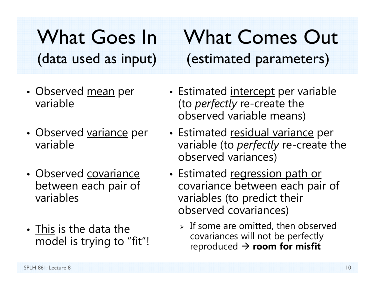What Goes In What Comes Out(data used as input) (estimated parameters)

- Observed <u>mean</u> per variable
- Observed <u>variance</u> per variable
- Observed covariance between each pair of variables
- This is the data the model is trying to "fit"!
- Estimated <u>intercept</u> per variable (to *perfectly* re-create the observed variable means)
- Estimated <u>residual variance</u> per variable (to *perfectly* re-create the observed variances)
- Estimated regression path or covariance between each pair of variables (to predict their observed covariances)
	- $\triangleright$  If some are omitted, then observed covariances will not be perfectly reproduced **room for misfit**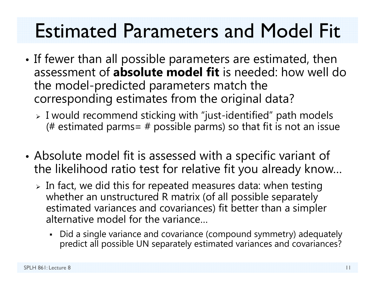### Estimated Parameters and Model Fit

- • $\bullet$  If fewer than all possible parameters are estimated, then assessment of **absolute model fit** is needed: how well do the model-predicted parameters match the corresponding estimates from the original data?
	- I would recommend sticking with "just-identified" path models (# estimated parms=  $#$  possible parms) so that fit is not an issue
- • Absolute model fit is assessed with a specific variant of the likelihood ratio test for relative fit you already know…
	- $\triangleright$  In fact, we did this for repeated measures data: when testing whether an unstructured R matrix (of all possible separately estimated variances and covariances) fit better than a simpler alternative model for the variance…
		- Did a single variance and covariance (compound symmetry) adequately predict all possible UN separately estimated variances and covariances?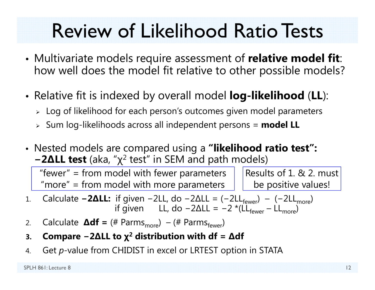### Review of Likelihood Ratio Tests

- • Multivariate models require assessment of **relative model fit**: how well does the model fit relative to other possible models?
- • Relative fit is indexed by overall model **log-likelihood** (**LL**):
	- $\triangleright\;$  Log of likelihood for each person's outcomes given model parameters
	- Sum log-likelihoods across all independent persons = **model LL**
- Nested models are compared using a **"likelihood ratio test": − 2 ∆LL test** (aka, " χ 2 test" in SEM and path models)

Results of 1. & 2. must be positive values! "fewer" = from model with fewer parameters "more" = from model with more parameters

- 1.. Calculate −2ΔLL: if given −2LL, do −2ΔLL = (−2LL<sub>fewer</sub>) − (−2LL<sub>more</sub>) if given LL, do −2ΔLL = −2 \*(LL<sub>fewer</sub> – LL<sub>more</sub>)
- 2.. Calculate **∆df** = (# Parms<sub>more</sub>) – (# Parms<sub>fewer</sub>)
- **3.Compare − 2 ∆LL to χ 2 distribution with df <sup>=</sup> ∆df**
- 4.Get *p*-value from CHIDIST in excel or LRTEST option in STATA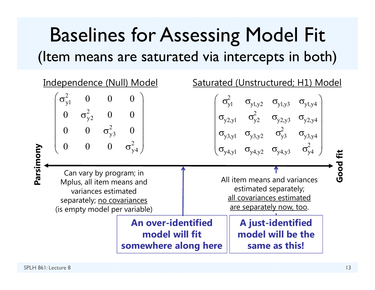### Baselines for Assessing Model Fit (Item means are saturated via intercepts in both)

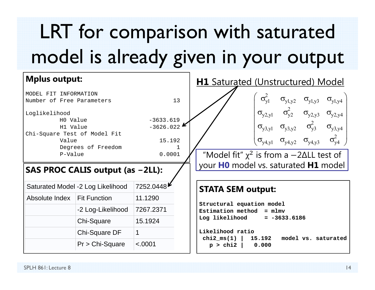# LRT for comparison with saturated model is already given in your output

| <b>Mplus output:</b>              |                     |                                                                | <b>H1</b> Saturated (Unstructured) Model                                                                   |  |
|-----------------------------------|---------------------|----------------------------------------------------------------|------------------------------------------------------------------------------------------------------------|--|
| MODEL FIT INFORMATION             |                     |                                                                |                                                                                                            |  |
| Number of Free Parameters         |                     | 13                                                             | $\sigma_{yl}^2$ $\sigma_{yl,y2}$ $\sigma_{yl,y3}$ $\sigma_{yl,y4}$                                         |  |
| Loglikelihood                     |                     |                                                                | $\sigma_{y2,y1}$ $\sigma_{y2}^2$ $\sigma_{y2,y3}$ $\sigma_{y2,y4}$                                         |  |
| H0 Value                          |                     | $-3633.619$                                                    |                                                                                                            |  |
| H1 Value                          |                     | $-3626.022$                                                    | $\sigma_{y3,y1}$ $\sigma_{y3,y2}$ $\sigma_{y3}^2$ $\sigma_{y3,y4}$                                         |  |
| Chi-Square Test of Model Fit      |                     |                                                                |                                                                                                            |  |
| Value                             |                     | 15.192                                                         | $\sigma_{y4,y1}$ $\sigma_{y4,y2}$ $\sigma_{y4,y3}$ $\sigma_{y4}^2$                                         |  |
| Degrees of Freedom<br>P-Value     |                     | "Model fit" $\chi^2$ is from a $-2\Delta$ LL test of<br>0.0001 |                                                                                                            |  |
| SAS PROC CALIS output (as -2LL):  |                     |                                                                | your HO model vs. saturated H1 model                                                                       |  |
| Saturated Model -2 Log Likelihood |                     | 7252.0448                                                      | <b>STATA SEM output:</b>                                                                                   |  |
| Absolute Index                    | <b>Fit Function</b> | 11.1290                                                        | Structural equation model<br>Estimation method = mlmv<br>Log likelihood = $-3633.6186$<br>Likelihood ratio |  |
|                                   | -2 Log-Likelihood   | 7267.2371                                                      |                                                                                                            |  |
|                                   | Chi-Square          | 15.1924                                                        |                                                                                                            |  |
|                                   | Chi-Square DF       | $\mathbf 1$                                                    |                                                                                                            |  |
|                                   | $Pr$ > Chi-Square   | < .0001                                                        | $chi2_m s(1)$<br>15.192<br>model vs. saturated<br>$p > chi2$ 0.000                                         |  |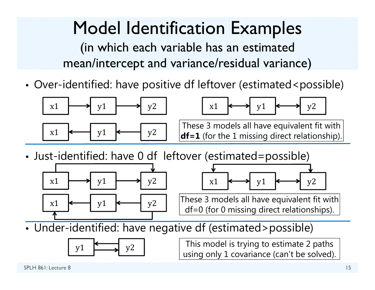### Model Identification Examples

(in which each variable has an estimated mean/intercept and variance/residual variance)

•Over-identified: have positive df leftover (estimated<possible)



•Just-identified: have 0 df leftover (estimated=possible)





These 3 models all have equivalent fit with df=0 (for 0 missing direct relationships).

•Under-identified: have negative df (estimated>possible)



 $y1 \longrightarrow y2$  This model is trying to estimate 2 paths using only 1 covariance (can't be solved).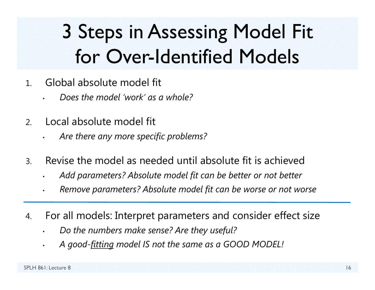## 3 Steps in Assessing Model Fit for Over-Identified Models

- 1. Global absolute model fit
	- •*Does the model 'work' as a whole?*
- 2. Local absolute model fit
	- *Are there any more specific problems?*
- 3. Revise the model as needed until absolute fit is achieved
	- •*Add parameters? Absolute model fit can be better or not better*
	- •*Remove parameters? Absolute model fit can be worse or not worse*
- 4. For all models: Interpret parameters and consider effect size
	- •*Do the numbers make sense? Are they useful?*
	- •*A good-fitting model IS not the same as a GOOD MODEL!*

•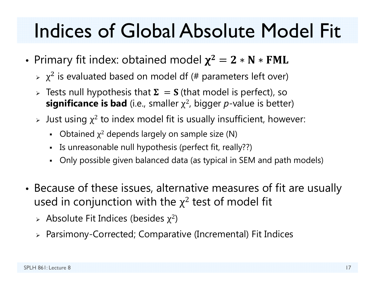- •• Primary fit index: obtained model  $\chi^2=2*N*FML$ 
	- $\triangleright$   $\chi^2$  is evaluated based on model df (# parameters left over)
	- $\triangleright$  Tests null hypothesis that  $\boldsymbol{\Sigma} \ = \mathbf{S}$  (that model is perfect), so **significance is bad** (i.e., smaller χ 2, bigger *p*-value is better)
	- $\triangleright$  Just using  $\chi^2$  to index model fit is usually insufficient, however:
		- $\blacksquare$ • Obtained  $\chi^2$  depends largely on sample size (N)
		- Is unreasonable null hypothesis (perfect fit, really??)
		- Only possible given balanced data (as typical in SEM and path models)
- • Because of these issues, alternative measures of fit are usually used in conjunction with the  $\chi^2$  test of model fit
	- $\triangleright$  Absolute Fit Indices (besides  $\chi^2$ )
	- Parsimony-Corrected; Comparative (Incremental) Fit Indices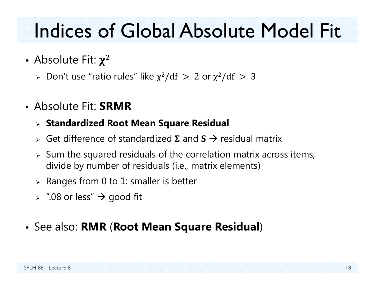- Absolute Fit:  $\chi^2$ 
	- $\triangleright$  Don't use "ratio rules" like  $\chi^2/\mathrm{df} \, > \, 2$  or  $\chi^2/\mathrm{df} \, > \, 3$
- Absolute Fit: **SRMR**

#### **Standardized Root Mean Square Residual**

- $\triangleright$  Get difference of standardized  $\Sigma$  and  $S \rightarrow$  residual matrix
- $\triangleright$  Sum the squared residuals of the correlation matrix across items, divide by number of residuals (i.e., matrix elements)
- $\triangleright$  Ranges from 0 to 1: smaller is better
- $\triangleright$   $\;\mathord{''}.08$  or less"  $\bm{\rightarrow}$  good fit

#### • See also: **RMR** (**Root Mean Square Residual** )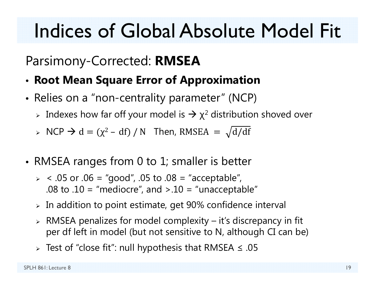### Parsimony-Corrected: **RMSEA**

- •**Root Mean Square Error of Approximation**
- Relies on a "non-centrality parameter" (NCP)
	- $\triangleright$  Indexes how far off your model is  $\rightarrow$   $\chi^2$  distribution shoved over
	- $\triangleright$  NCP  $\rightarrow$  d = ( $\chi^2$  df) / N Then, RMSEA =  $\sqrt{d/df}$
- • RMSEA ranges from 0 to 1; smaller is better
	- $>$  < .05 or .06 = "good", .05 to .08 = "acceptable", .08 to .10 = "mediocre", and  $> 0.10$  = "unacceptable"
	- $\triangleright$  In addition to point estimate, get 90% confidence interval
	- $\triangleright$  RMSEA penalizes for model complexity it's discrepancy in fit per df left in model (but not sensitive to N, although CI can be)
	- $\triangleright$  Test of "close fit": null hypothesis that RMSEA  $\leq .05$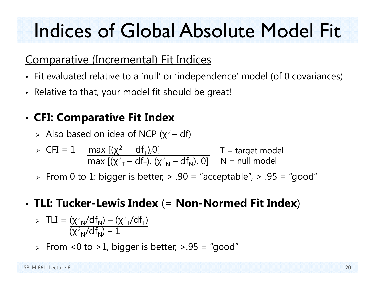### Comparative (Incremental) Fit Indices

- Fit evaluated relative to a 'null' or 'independence' model (of 0 covariances)
- Relative to that, your model fit should be great!

### • **CFI: Comparative Fit Index**

 $\triangleright$  Also based on idea of NCP ( $\chi^2-$  df)

$$
\triangleright \text{ CFI} = 1 - \frac{\max\left[ (\chi^2 - df_T), 0 \right]}{\max\left[ (\chi^2 - df_T), (\chi^2 - df_N), 0 \right]} \quad T = \text{target model}
$$

 $\triangleright\;$  From 0 to 1: bigger is better,  $\triangleright\;$  .90 = "acceptable",  $\triangleright\;$  .95 = "good"

### • **TLI: Tucker-Lewis Index** (= **Non-Normed Fit Index** )

> TLI = 
$$
\frac{(\chi^2_N/df_N) - (\chi^2_T/df_T)}{(\chi^2_N/df_N) - 1}
$$

 $\triangleright$  From <0 to >1, bigger is better, >.95 = "good"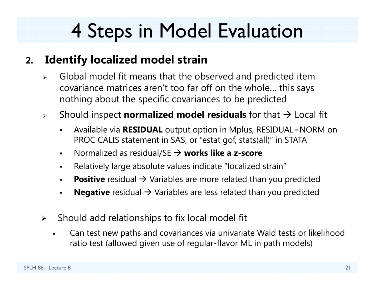### 4 Steps in Model Evaluation

#### **2.Identify localized model strain**

- $\blacktriangleright$  Global model fit means that the observed and predicted item covariance matrices aren't too far off on the whole… this says nothing about the specific covariances to be predicted
- $\blacktriangleright$  Should inspect **normalized model residuals** for that Local fit
	- $\blacksquare$  Available via **RESIDUAL** output option in Mplus, RESIDUAL=NORM on PROC CALIS statement in SAS, or "estat gof, stats(all)" in STATA
	- $\blacksquare$ ■ Normalized as residual/SE → works like a z-score
	- $\blacksquare$ Relatively large absolute values indicate "localized strain"
	- ■ **Positive** residual → Variables are more related than you predicted
	- $\blacksquare$ **Negative** residual  $\rightarrow$  Variables are less related than you predicted
- $\blacktriangleright$  Should add relationships to fix local model fit
	- $\blacksquare$  Can test new paths and covariances via univariate Wald tests or likelihood ratio test (allowed given use of regular-flavor ML in path models)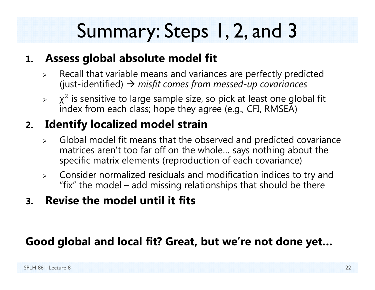## Summary: Steps 1, 2, and 3

#### **1. Assess global absolute model fit**

- $\blacktriangleright$  Recall that variable means and variances are perfectly predicted (just-identified) *misfit comes from messed-up covariances*
- ➤  $\chi^2$  is sensitive to large sample size, so pick at least one global fit index from each class; hope they agree (e.g., CFI, RMSEA)

### **2. Identify localized model strain**

- $\triangleright$  Global model fit means that the observed and predicted covariance matrices aren't too far off on the whole… says nothing about the specific matrix elements (reproduction of each covariance)
- $\blacktriangleright$  Consider normalized residuals and modification indices to try and "fix" the model – add missing relationships that should be there
- **3. Revise the model until it fits**

#### **Good global and local fit? Great, but we're not done yet…**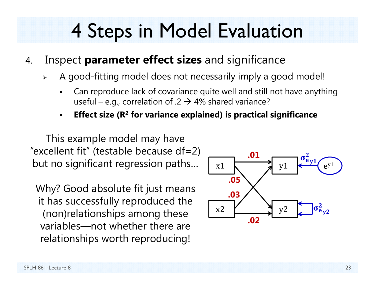### 4 Steps in Model Evaluation

- 4. Inspect **parameter effect sizes** and significance
	- ➤ A good-fitting model does not necessarily imply a good model!
		- F Can reproduce lack of covariance quite well and still not have anything useful – e.g., correlation of .2  $\rightarrow$  4% shared variance?
		- **Effect size (R 2 for variance explained) is practical significance**

This example model may have "excellent fit" (testable because  $df=2$ ) but no significant regression paths…

Why? Good absolute fit just means it has successfully reproduced the (non)relationships among these variables—not whether there are relationships worth reproducing!

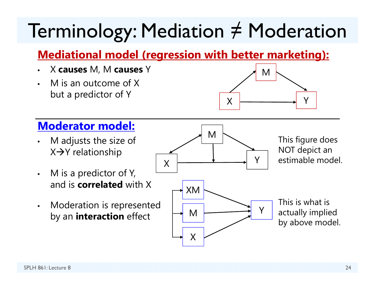### Terminology: Mediation ≠ Moderation

### **Mediational model (regression with better marketing):**

- •X **causes** M, M **causes** Y
- • M is an outcome of X but a predictor of Y



#### **Moderator model:**

- • M adjusts the size of X→Y relationship
- • M is a predictor of Y, and is **correlated** with X
- $\bullet$  Moderation is represented by an **interaction** effect

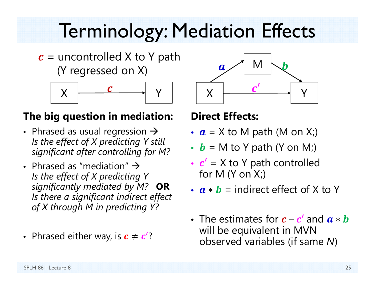### Terminology: Mediation Effects

 $\boldsymbol{c}$  = uncontrolled X to Y path (Y regressed on X)



#### **The big question in mediation:**

- Phrased as usual regression  $\rightarrow$ *Is the effect of X predicting Y still significant after controlling for M?*
- Phrased as "mediation"  $\rightarrow$ *Is the effect of X predicting Y significantly mediated by M?* **OR** *Is there a significant indirect effect of X through M in predicting Y?*
- Phrased either way, is  $\boldsymbol{c} \neq \boldsymbol{c}' ?$



#### **Direct Effects:**

- $a$  = X to M path (M on X;)
- $\bm{b}$  = M to Y path (Y on M;)
- ••  $c'$  = X to Y path controlled for M  $(Y \text{ on } X_i)$
- $\boldsymbol{a} * \boldsymbol{b}$  = indirect effect of X to Y
- The estimates for  $\boldsymbol{c}$   $\boldsymbol{c}^\prime$  and  $\boldsymbol{a}$   $*$   $\boldsymbol{b}$ will be equivalent in MVN observed variables (if same *N* )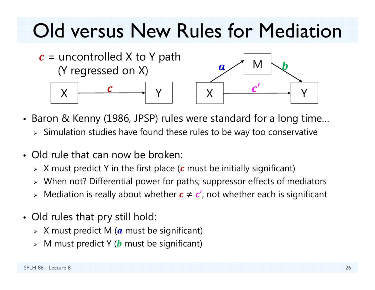### Old versus New Rules for Mediation



- Baron & Kenny (1986, JPSP) rules were standard for a long time…
	- $\triangleright$  Simulation studies have found these rules to be way too conservative
- Old rule that can now be broken:
	- $\triangleright$   $\,$  X must predict Y in the first place ( $\,c$  must be initially significant)
	- When not? Differential power for paths; suppressor effects of mediators
	- $\triangleright$  Mediation is really about whether  $\boldsymbol{c} \neq \boldsymbol{c}'$ , not whether each is significant
- Old rules that pry still hold:
	- $\triangleright$   $\,$  X must predict M ( $\,$ a must be significant)
	- $\triangleright$   $\,$  M must predict Y ( $\bm{b}$  must be significant)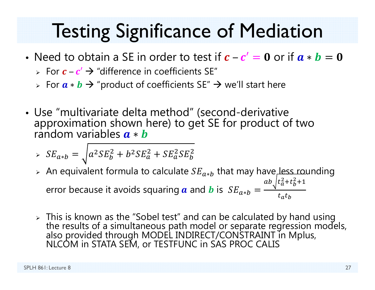- Need to obtain a SE in order to test if  $\bm{c}-\bm{c}'=\bm{0}$  or if  $\bm{a}*\bm{b}=\bm{0}$ 
	- $\triangleright$  For  $\boldsymbol{c}$   $\boldsymbol{c}'$   $\rightarrow$  "difference in coefficients SE"
	- ► For  $\bm{a} \ast \bm{b}$   $\bm{\rightarrow}$  "product of coefficients SE"  $\bm{\rightarrow}$  we'll start here
- Use "multivariate delta method" (second-derivative approximation shown here) to get SE for product of two a ∗ b

$$
\Rightarrow SE_{a*b} = \sqrt{a^2 SE_b^2 + b^2 SE_a^2 + SE_a^2 SE_b^2}
$$

- $\triangleright$  An equivalent formula to calculate  $SE_{a*b}$  that may have, less rounding error because it avoids squaring  $\boldsymbol{a}$  and  $\boldsymbol{b}$  is  $\ SE_{a*b}=$  $ab_{\gamma}\left(t_a^2+t_b^2+1\right)$  $t_a t_b$
- Finis is known as the "Sobel test" and can be calculated by hand using<br>the results of a simultaneous path model or separate regression models,<br>also provided through MODEL INDIRECT/CONSTRAINT in Mplus,<br>NLCOM in STATA SEM, o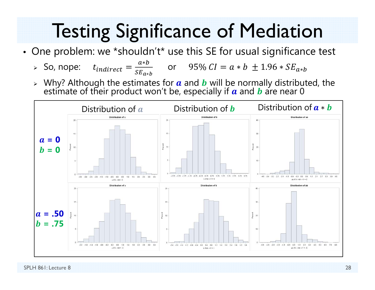• One problem: we \*shouldn't\* use this SE for usual significance test

▶ So, nope: 
$$
t_{indirect} = \frac{a*b}{s_{a*b}}
$$
 or 95%  $CI = a*b ± 1.96 * SE_{a*b}$ 

 $\triangleright$  Why? Although the estimates for  $\boldsymbol{a}$  and  $\boldsymbol{b}$  will be normally distributed, the estimate of their product won't be, especially if  $\boldsymbol{a}$  and  $\boldsymbol{b}$  are near 0

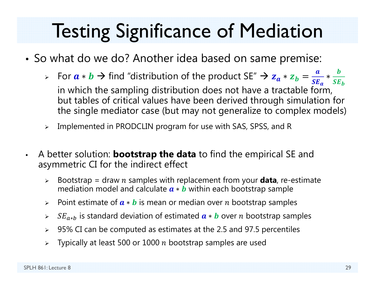- So what do we do? Another idea based on same premise:
	- ► For  $a * b \to$  find "distribution of the product SE"  $\to z_a * z_b$ ൌ  $\boldsymbol{a}$  $SE_a$  in which the sampling distribution does not have a tractable form, ∗  $\bm{b}$  $\boldsymbol{SE_{b}}$ but tables of critical values have been derived through simulation for the single mediator case (but may not generalize to complex models)
	- $\blacktriangleright$ Implemented in PRODCLIN program for use with SAS, SPSS, and R
- $\bullet$  A better solution: **bootstrap the data** to find the empirical SE and asymmetric CI for the indirect effect
	- $\blacktriangleright$ > Bootstrap = draw *n* samples with replacement from your **data**, re-estimate mediation model and calculate  $\bm{a} * \bm{b}$  within each bootstrap sample
	- ➤ ► Point estimate of  $\boldsymbol{a} \ast \boldsymbol{b}$  is mean or median over  $n$  bootstrap samples
	- ⋗ ► S $E_{a*b}$  is standard deviation of estimated  $\boldsymbol{a} \ast \boldsymbol{b}$  over *n* bootstrap samples
	- ⋗ 95% CI can be computed as estimates at the 2.5 and 97.5 percentiles
	- ⋗  $\triangleright$  Typically at least 500 or 1000  $n$  bootstrap samples are used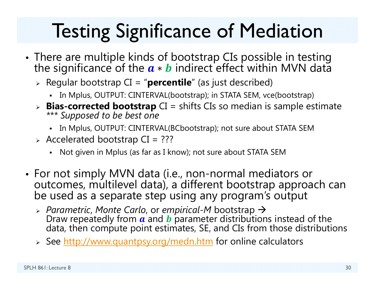- •• There are multiple kinds of bootstrap CIs possible in testing the significance of the  $a * b$  indirect effect within MVN data
	- Regular bootstrap CI = "**percentile**" (as just described)
		- In Mplus, OUTPUT: CINTERVAL(bootstrap); in STATA SEM, vce(bootstrap)
	- **Bias-corrected bootstrap** CI = shifts CIs so median is sample estimate *\*\*\* Supposed to be best one*
		- In Mplus, OUTPUT: CINTERVAL(BCbootstrap); not sure about STATA SEM
	- $\triangleright$  Accelerated bootstrap CI = ???
		- Not given in Mplus (as far as I know); not sure about STATA SEM
- For not simply MVN data (i.e., non-normal mediators or outcomes, multilevel data), a different bootstrap approach can be used as a separate step using any program's output
	- *Parametric*, *Monte Carlo*, or *empirical-M* bootstrap Draw repeatedly from  $\boldsymbol{a}$  and  $\boldsymbol{b}$  parameter distributions instead of the<br>data, then compute point estimates, SE, and CIs from those distributions
	- > See <u>http://www.quantpsy.org/medn.htm</u> for online calculators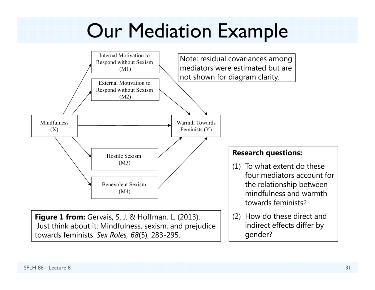### Our Mediation Example